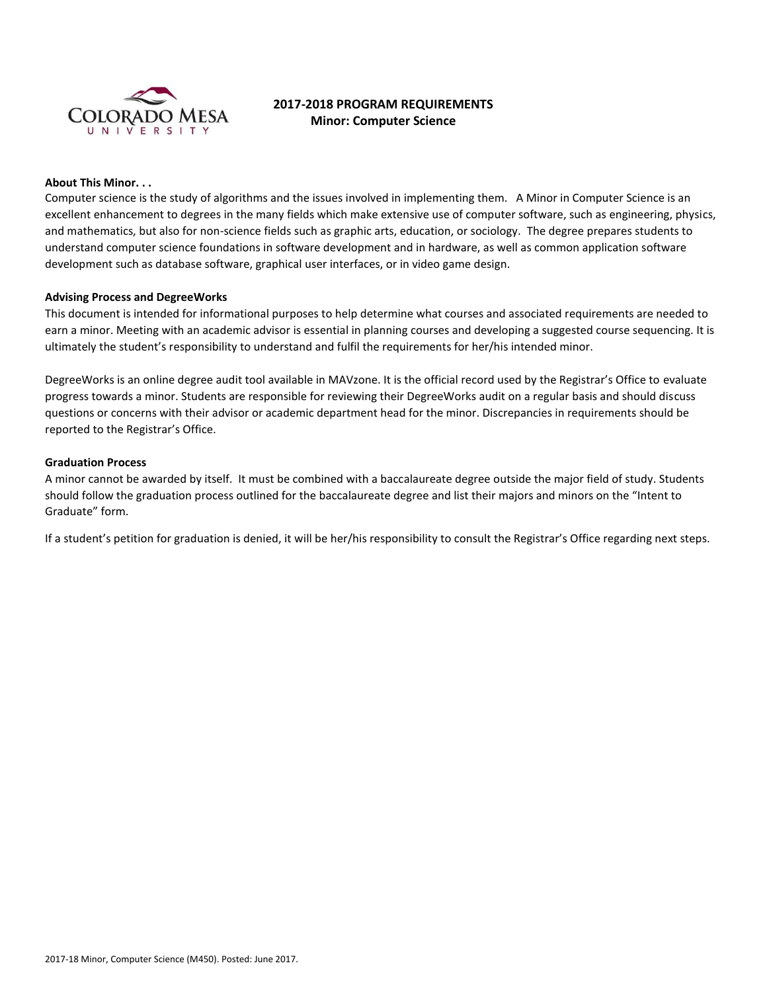

# **2017-2018 PROGRAM REQUIREMENTS Minor: Computer Science**

### **About This Minor. . .**

Computer science is the study of algorithms and the issues involved in implementing them. A Minor in Computer Science is an excellent enhancement to degrees in the many fields which make extensive use of computer software, such as engineering, physics, and mathematics, but also for non-science fields such as graphic arts, education, or sociology. The degree prepares students to understand computer science foundations in software development and in hardware, as well as common application software development such as database software, graphical user interfaces, or in video game design.

## **Advising Process and DegreeWorks**

This document is intended for informational purposes to help determine what courses and associated requirements are needed to earn a minor. Meeting with an academic advisor is essential in planning courses and developing a suggested course sequencing. It is ultimately the student's responsibility to understand and fulfil the requirements for her/his intended minor.

DegreeWorks is an online degree audit tool available in MAVzone. It is the official record used by the Registrar's Office to evaluate progress towards a minor. Students are responsible for reviewing their DegreeWorks audit on a regular basis and should discuss questions or concerns with their advisor or academic department head for the minor. Discrepancies in requirements should be reported to the Registrar's Office.

### **Graduation Process**

A minor cannot be awarded by itself. It must be combined with a baccalaureate degree outside the major field of study. Students should follow the graduation process outlined for the baccalaureate degree and list their majors and minors on the "Intent to Graduate" form.

If a student's petition for graduation is denied, it will be her/his responsibility to consult the Registrar's Office regarding next steps.